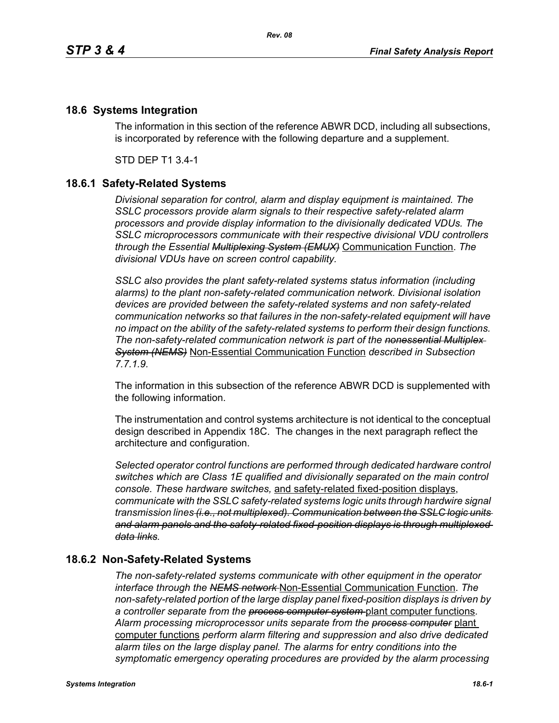## **18.6 Systems Integration**

The information in this section of the reference ABWR DCD, including all subsections, is incorporated by reference with the following departure and a supplement.

STD DEP T1 3.4-1

## **18.6.1 Safety-Related Systems**

*Divisional separation for control, alarm and display equipment is maintained. The SSLC processors provide alarm signals to their respective safety-related alarm processors and provide display information to the divisionally dedicated VDUs. The SSLC microprocessors communicate with their respective divisional VDU controllers through the Essential Multiplexing System (EMUX)* Communication Function. *The divisional VDUs have on screen control capability.*

*SSLC also provides the plant safety-related systems status information (including alarms) to the plant non-safety-related communication network. Divisional isolation devices are provided between the safety-related systems and non safety-related communication networks so that failures in the non-safety-related equipment will have no impact on the ability of the safety-related systems to perform their design functions. The non-safety-related communication network is part of the nonessential Multiplex System (NEMS)* Non-Essential Communication Function *described in Subsection 7.7.1.9.*

The information in this subsection of the reference ABWR DCD is supplemented with the following information.

The instrumentation and control systems architecture is not identical to the conceptual design described in Appendix 18C. The changes in the next paragraph reflect the architecture and configuration.

*Selected operator control functions are performed through dedicated hardware control switches which are Class 1E qualified and divisionally separated on the main control console. These hardware switches,* and safety-related fixed-position displays, *communicate with the SSLC safety-related systems logic units through hardwire signal transmission lines (i.e., not multiplexed). Communication between the SSLC logic units and alarm panels and the safety-related fixed-position displays is through multiplexed data links.*

## **18.6.2 Non-Safety-Related Systems**

*The non-safety-related systems communicate with other equipment in the operator interface through the NEMS network* Non-Essential Communication Function. *The non-safety-related portion of the large display panel fixed-position displays is driven by a controller separate from the process computer system* plant computer functions. *Alarm processing microprocessor units separate from the process computer* plant computer functions *perform alarm filtering and suppression and also drive dedicated alarm tiles on the large display panel. The alarms for entry conditions into the symptomatic emergency operating procedures are provided by the alarm processing*